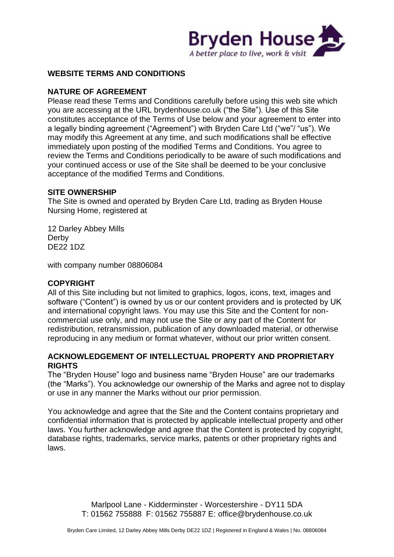

# **WEBSITE TERMS AND CONDITIONS**

### **NATURE OF AGREEMENT**

Please read these Terms and Conditions carefully before using this web site which you are accessing at the URL brydenhouse.co.uk ("the Site"). Use of this Site constitutes acceptance of the Terms of Use below and your agreement to enter into a legally binding agreement ("Agreement") with Bryden Care Ltd ("we"/ "us"). We may modify this Agreement at any time, and such modifications shall be effective immediately upon posting of the modified Terms and Conditions. You agree to review the Terms and Conditions periodically to be aware of such modifications and your continued access or use of the Site shall be deemed to be your conclusive acceptance of the modified Terms and Conditions.

#### **SITE OWNERSHIP**

The Site is owned and operated by Bryden Care Ltd, trading as Bryden House Nursing Home, registered at

12 Darley Abbey Mills **Derby** DE22 1DZ

with company number 08806084

# **COPYRIGHT**

All of this Site including but not limited to graphics, logos, icons, text, images and software ("Content") is owned by us or our content providers and is protected by UK and international copyright laws. You may use this Site and the Content for noncommercial use only, and may not use the Site or any part of the Content for redistribution, retransmission, publication of any downloaded material, or otherwise reproducing in any medium or format whatever, without our prior written consent.

### **ACKNOWLEDGEMENT OF INTELLECTUAL PROPERTY AND PROPRIETARY RIGHTS**

The "Bryden House" logo and business name "Bryden House" are our trademarks (the "Marks"). You acknowledge our ownership of the Marks and agree not to display or use in any manner the Marks without our prior permission.

You acknowledge and agree that the Site and the Content contains proprietary and confidential information that is protected by applicable intellectual property and other laws. You further acknowledge and agree that the Content is protected by copyright, database rights, trademarks, service marks, patents or other proprietary rights and laws.

> Marlpool Lane - Kidderminster - Worcestershire - DY11 5DA T: 01562 755888 F: 01562 755887 E: office@brydenhouse.co.uk